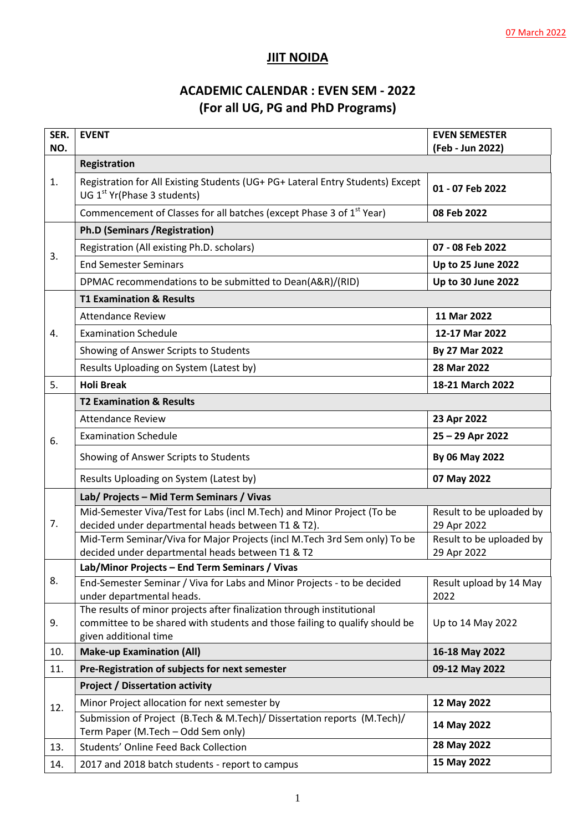## **JIIT NOIDA**

# **ACADEMIC CALENDAR : EVEN SEM - 2022 (For all UG, PG and PhD Programs)**

| SER. | <b>EVENT</b>                                                                                                                  | <b>EVEN SEMESTER</b>                    |  |
|------|-------------------------------------------------------------------------------------------------------------------------------|-----------------------------------------|--|
| NO.  |                                                                                                                               | (Feb - Jun 2022)                        |  |
|      | <b>Registration</b>                                                                                                           |                                         |  |
| 1.   | Registration for All Existing Students (UG+ PG+ Lateral Entry Students) Except<br>UG 1 <sup>st</sup> Yr(Phase 3 students)     | 01 - 07 Feb 2022                        |  |
|      | Commencement of Classes for all batches (except Phase 3 of 1 <sup>st</sup> Year)                                              | 08 Feb 2022                             |  |
|      | <b>Ph.D (Seminars / Registration)</b>                                                                                         |                                         |  |
| 3.   | Registration (All existing Ph.D. scholars)                                                                                    | 07 - 08 Feb 2022                        |  |
|      | <b>End Semester Seminars</b>                                                                                                  | Up to 25 June 2022                      |  |
|      | DPMAC recommendations to be submitted to Dean(A&R)/(RID)                                                                      | Up to 30 June 2022                      |  |
|      | <b>T1 Examination &amp; Results</b>                                                                                           |                                         |  |
|      | <b>Attendance Review</b>                                                                                                      | 11 Mar 2022                             |  |
| 4.   | <b>Examination Schedule</b>                                                                                                   | 12-17 Mar 2022                          |  |
|      | Showing of Answer Scripts to Students                                                                                         | By 27 Mar 2022                          |  |
|      | Results Uploading on System (Latest by)                                                                                       | 28 Mar 2022                             |  |
| 5.   | <b>Holi Break</b>                                                                                                             | 18-21 March 2022                        |  |
|      | <b>T2 Examination &amp; Results</b>                                                                                           |                                         |  |
|      | <b>Attendance Review</b>                                                                                                      | 23 Apr 2022                             |  |
| 6.   | <b>Examination Schedule</b>                                                                                                   | 25 - 29 Apr 2022                        |  |
|      | Showing of Answer Scripts to Students                                                                                         | By 06 May 2022                          |  |
|      | Results Uploading on System (Latest by)                                                                                       | 07 May 2022                             |  |
|      | Lab/ Projects - Mid Term Seminars / Vivas                                                                                     |                                         |  |
|      | Mid-Semester Viva/Test for Labs (incl M.Tech) and Minor Project (To be                                                        | Result to be uploaded by                |  |
| 7.   | decided under departmental heads between T1 & T2).                                                                            | 29 Apr 2022                             |  |
|      | Mid-Term Seminar/Viva for Major Projects (incl M.Tech 3rd Sem only) To be<br>decided under departmental heads between T1 & T2 | Result to be uploaded by<br>29 Apr 2022 |  |
|      | Lab/Minor Projects - End Term Seminars / Vivas                                                                                |                                         |  |
| 8.   | End-Semester Seminar / Viva for Labs and Minor Projects - to be decided                                                       | Result upload by 14 May                 |  |
|      | under departmental heads.                                                                                                     | 2022                                    |  |
|      | The results of minor projects after finalization through institutional                                                        |                                         |  |
| 9.   | committee to be shared with students and those failing to qualify should be<br>given additional time                          | Up to 14 May 2022                       |  |
| 10.  | <b>Make-up Examination (All)</b>                                                                                              | 16-18 May 2022                          |  |
| 11.  | Pre-Registration of subjects for next semester                                                                                | 09-12 May 2022                          |  |
| 12.  | <b>Project / Dissertation activity</b>                                                                                        |                                         |  |
|      | Minor Project allocation for next semester by                                                                                 | 12 May 2022                             |  |
|      | Submission of Project (B.Tech & M.Tech)/ Dissertation reports (M.Tech)/                                                       |                                         |  |
|      | Term Paper (M.Tech - Odd Sem only)                                                                                            | 14 May 2022                             |  |
| 13.  | Students' Online Feed Back Collection                                                                                         | 28 May 2022                             |  |
| 14.  | 2017 and 2018 batch students - report to campus                                                                               | 15 May 2022                             |  |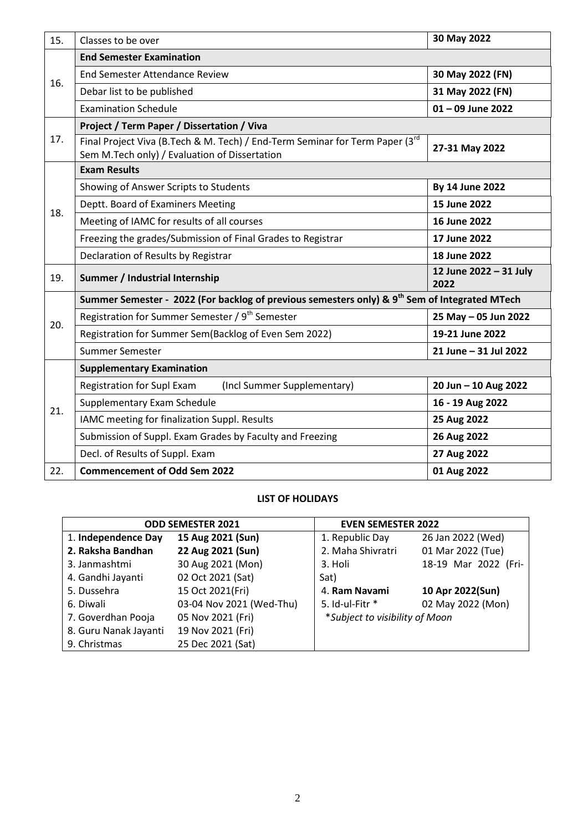| 15. | Classes to be over                                                                                                            | 30 May 2022                    |  |
|-----|-------------------------------------------------------------------------------------------------------------------------------|--------------------------------|--|
| 16. | <b>End Semester Examination</b>                                                                                               |                                |  |
|     | <b>End Semester Attendance Review</b>                                                                                         | 30 May 2022 (FN)               |  |
|     | Debar list to be published                                                                                                    | 31 May 2022 (FN)               |  |
|     | <b>Examination Schedule</b>                                                                                                   | $01 - 09$ June 2022            |  |
|     | Project / Term Paper / Dissertation / Viva                                                                                    |                                |  |
| 17. | Final Project Viva (B.Tech & M. Tech) / End-Term Seminar for Term Paper (3rd<br>Sem M.Tech only) / Evaluation of Dissertation | 27-31 May 2022                 |  |
|     | <b>Exam Results</b>                                                                                                           |                                |  |
|     | Showing of Answer Scripts to Students                                                                                         | By 14 June 2022                |  |
| 18. | Deptt. Board of Examiners Meeting                                                                                             | 15 June 2022                   |  |
|     | Meeting of IAMC for results of all courses                                                                                    | 16 June 2022                   |  |
|     | Freezing the grades/Submission of Final Grades to Registrar                                                                   | 17 June 2022                   |  |
|     | Declaration of Results by Registrar                                                                                           | 18 June 2022                   |  |
| 19. | Summer / Industrial Internship                                                                                                | 12 June 2022 - 31 July<br>2022 |  |
|     | Summer Semester - 2022 (For backlog of previous semesters only) & 9 <sup>th</sup> Sem of Integrated MTech                     |                                |  |
| 20. | Registration for Summer Semester / 9 <sup>th</sup> Semester                                                                   | 25 May - 05 Jun 2022           |  |
|     | Registration for Summer Sem(Backlog of Even Sem 2022)                                                                         | 19-21 June 2022                |  |
|     | Summer Semester                                                                                                               | 21 June - 31 Jul 2022          |  |
|     | <b>Supplementary Examination</b>                                                                                              |                                |  |
|     | <b>Registration for Supl Exam</b><br>(Incl Summer Supplementary)                                                              | 20 Jun - 10 Aug 2022           |  |
| 21. | Supplementary Exam Schedule                                                                                                   | 16 - 19 Aug 2022               |  |
|     | IAMC meeting for finalization Suppl. Results                                                                                  | 25 Aug 2022                    |  |
|     | Submission of Suppl. Exam Grades by Faculty and Freezing                                                                      | 26 Aug 2022                    |  |
|     | Decl. of Results of Suppl. Exam                                                                                               | 27 Aug 2022                    |  |
| 22. | <b>Commencement of Odd Sem 2022</b>                                                                                           | 01 Aug 2022                    |  |

#### **LIST OF HOLIDAYS**

| <b>ODD SEMESTER 2021</b> |                          | <b>EVEN SEMESTER 2022</b>      |                      |
|--------------------------|--------------------------|--------------------------------|----------------------|
| 1. Independence Day      | 15 Aug 2021 (Sun)        | 1. Republic Day                | 26 Jan 2022 (Wed)    |
| 2. Raksha Bandhan        | 22 Aug 2021 (Sun)        | 2. Maha Shivratri              | 01 Mar 2022 (Tue)    |
| 3. Janmashtmi            | 30 Aug 2021 (Mon)        | 3. Holi                        | 18-19 Mar 2022 (Fri- |
| 4. Gandhi Jayanti        | 02 Oct 2021 (Sat)        | Sat)                           |                      |
| 5. Dussehra              | 15 Oct 2021(Fri)         | 4. Ram Navami                  | 10 Apr 2022(Sun)     |
| 6. Diwali                | 03-04 Nov 2021 (Wed-Thu) | 5. Id-ul-Fitr *                | 02 May 2022 (Mon)    |
| 7. Goverdhan Pooja       | 05 Nov 2021 (Fri)        | *Subject to visibility of Moon |                      |
| 8. Guru Nanak Jayanti    | 19 Nov 2021 (Fri)        |                                |                      |
| 9. Christmas             | 25 Dec 2021 (Sat)        |                                |                      |